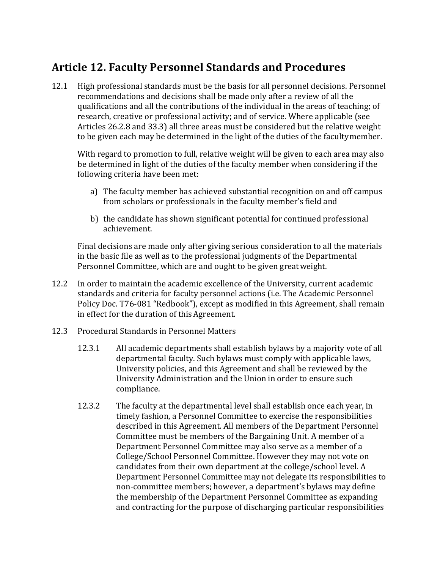## **Article 12. Faculty Personnel Standards and Procedures**

12.1 High professional standards must be the basis for all personnel decisions. Personnel recommendations and decisions shall be made only after a review of all the qualifications and all the contributions of the individual in the areas of teaching; of research, creative or professional activity; and of service. Where applicable (see Articles 26.2.8 and 33.3) all three areas must be considered but the relative weight to be given each may be determined in the light of the duties of the facultymember.

With regard to promotion to full, relative weight will be given to each area may also be determined in light of the duties of the faculty member when considering if the following criteria have been met:

- a) The faculty member has achieved substantial recognition on and off campus from scholars or professionals in the faculty member's field and
- b) the candidate has shown significant potential for continued professional achievement.

Final decisions are made only after giving serious consideration to all the materials in the basic file as well as to the professional judgments of the Departmental Personnel Committee, which are and ought to be given greatweight.

- 12.2 In order to maintain the academic excellence of the University, current academic standards and criteria for faculty personnel actions (i.e. The Academic Personnel Policy Doc. T76-081 "Redbook"), except as modified in this Agreement, shall remain in effect for the duration of this Agreement.
- 12.3 Procedural Standards in Personnel Matters
	- 12.3.1 All academic departments shall establish bylaws by a majority vote of all departmental faculty. Such bylaws must comply with applicable laws, University policies, and this Agreement and shall be reviewed by the University Administration and the Union in order to ensure such compliance.
	- 12.3.2 The faculty at the departmental level shall establish once each year, in timely fashion, a Personnel Committee to exercise the responsibilities described in this Agreement. All members of the Department Personnel Committee must be members of the Bargaining Unit. A member of a Department Personnel Committee may also serve as a member of a College/School Personnel Committee. However they may not vote on candidates from their own department at the college/school level. A Department Personnel Committee may not delegate its responsibilities to non-committee members; however, a department's bylaws may define the membership of the Department Personnel Committee as expanding and contracting for the purpose of discharging particular responsibilities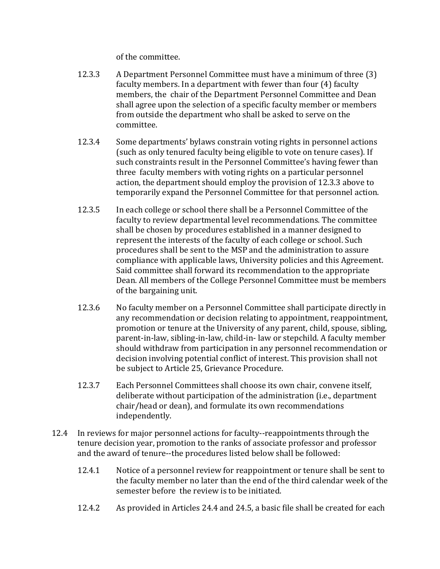of the committee.

- 12.3.3 A Department Personnel Committee must have a minimum of three (3) faculty members. In a department with fewer than four (4) faculty members, the chair of the Department Personnel Committee and Dean shall agree upon the selection of a specific faculty member or members from outside the department who shall be asked to serve on the committee.
- 12.3.4 Some departments' bylaws constrain voting rights in personnel actions (such as only tenured faculty being eligible to vote on tenure cases). If such constraints result in the Personnel Committee's having fewer than three faculty members with voting rights on a particular personnel action, the department should employ the provision of 12.3.3 above to temporarily expand the Personnel Committee for that personnel action.
- 12.3.5 In each college or school there shall be a Personnel Committee of the faculty to review departmental level recommendations. The committee shall be chosen by procedures established in a manner designed to represent the interests of the faculty of each college or school. Such procedures shall be sent to the MSP and the administration to assure compliance with applicable laws, University policies and this Agreement. Said committee shall forward its recommendation to the appropriate Dean. All members of the College Personnel Committee must be members of the bargaining unit.
- 12.3.6 No faculty member on a Personnel Committee shall participate directly in any recommendation or decision relating to appointment, reappointment, promotion or tenure at the University of any parent, child, spouse, sibling, parent-in-law, sibling-in-law, child-in- law or stepchild. A faculty member should withdraw from participation in any personnel recommendation or decision involving potential conflict of interest. This provision shall not be subject to Article 25, Grievance Procedure.
- 12.3.7 Each Personnel Committees shall choose its own chair, convene itself, deliberate without participation of the administration (i.e., department chair/head or dean), and formulate its own recommendations independently.
- 12.4 In reviews for major personnel actions for faculty--reappointments through the tenure decision year, promotion to the ranks of associate professor and professor and the award of tenure--the procedures listed below shall be followed:
	- 12.4.1 Notice of a personnel review for reappointment or tenure shall be sent to the faculty member no later than the end of the third calendar week of the semester before the review is to be initiated.
	- 12.4.2 As provided in Articles 24.4 and 24.5, a basic file shall be created for each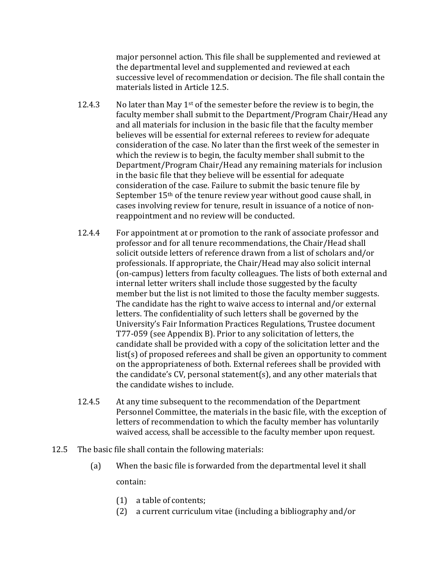major personnel action. This file shall be supplemented and reviewed at the departmental level and supplemented and reviewed at each successive level of recommendation or decision. The file shall contain the materials listed in Article 12.5.

- 12.4.3 No later than May 1<sup>st</sup> of the semester before the review is to begin, the faculty member shall submit to the Department/Program Chair/Head any and all materials for inclusion in the basic file that the faculty member believes will be essential for external referees to review for adequate consideration of the case. No later than the first week of the semester in which the review is to begin, the faculty member shall submit to the Department/Program Chair/Head any remaining materials for inclusion in the basic file that they believe will be essential for adequate consideration of the case. Failure to submit the basic tenure file by September 15<sup>th</sup> of the tenure review year without good cause shall, in cases involving review for tenure, result in issuance of a notice of nonreappointment and no review will be conducted.
- 12.4.4 For appointment at or promotion to the rank of associate professor and professor and for all tenure recommendations, the Chair/Head shall solicit outside letters of reference drawn from a list of scholars and/or professionals. If appropriate, the Chair/Head may also solicit internal (on-campus) letters from faculty colleagues. The lists of both external and internal letter writers shall include those suggested by the faculty member but the list is not limited to those the faculty member suggests. The candidate has the right to waive access to internal and/or external letters. The confidentiality of such letters shall be governed by the University's Fair Information Practices Regulations, Trustee document T77-059 (see Appendix B). Prior to any solicitation of letters, the candidate shall be provided with a copy of the solicitation letter and the list(s) of proposed referees and shall be given an opportunity to comment on the appropriateness of both. External referees shall be provided with the candidate's CV, personal statement(s), and any other materials that the candidate wishes to include.
- 12.4.5 At any time subsequent to the recommendation of the Department Personnel Committee, the materials in the basic file, with the exception of letters of recommendation to which the faculty member has voluntarily waived access, shall be accessible to the faculty member upon request.
- 12.5 The basic file shall contain the following materials:
	- (a) When the basic file is forwarded from the departmental level it shall contain:
		- (1) a table of contents;
		- (2) a current curriculum vitae (including a bibliography and/or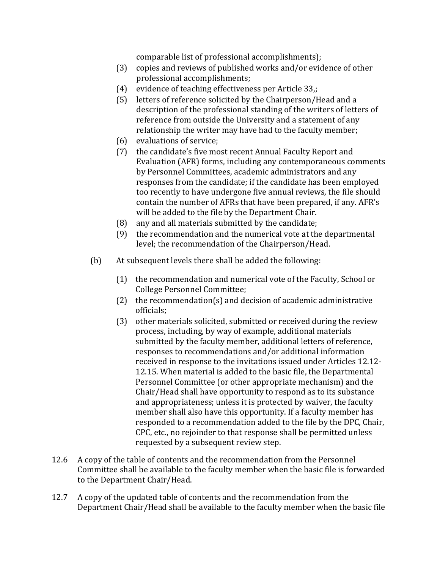comparable list of professional accomplishments);

- (3) copies and reviews of published works and/or evidence of other professional accomplishments;
- (4) evidence of teaching effectiveness per Article 33,;
- (5) letters of reference solicited by the Chairperson/Head and a description of the professional standing of the writers of letters of reference from outside the University and a statement of any relationship the writer may have had to the faculty member;
- (6) evaluations of service;
- (7) the candidate's five most recent Annual Faculty Report and Evaluation (AFR) forms, including any contemporaneous comments by Personnel Committees, academic administrators and any responses from the candidate; if the candidate has been employed too recently to have undergone five annual reviews, the file should contain the number of AFRs that have been prepared, if any. AFR's will be added to the file by the Department Chair.
- (8) any and all materials submitted by the candidate;
- (9) the recommendation and the numerical vote at the departmental level; the recommendation of the Chairperson/Head.
- (b) At subsequent levels there shall be added the following:
	- (1) the recommendation and numerical vote of the Faculty, School or College Personnel Committee;
	- (2) the recommendation(s) and decision of academic administrative officials;
	- (3) other materials solicited, submitted or received during the review process, including, by way of example, additional materials submitted by the faculty member, additional letters of reference, responses to recommendations and/or additional information received in response to the invitations issued under Articles 12.12- 12.15. When material is added to the basic file, the Departmental Personnel Committee (or other appropriate mechanism) and the Chair/Head shall have opportunity to respond as to its substance and appropriateness; unless it is protected by waiver, the faculty member shall also have this opportunity. If a faculty member has responded to a recommendation added to the file by the DPC, Chair, CPC, etc., no rejoinder to that response shall be permitted unless requested by a subsequent review step.
- 12.6 A copy of the table of contents and the recommendation from the Personnel Committee shall be available to the faculty member when the basic file is forwarded to the Department Chair/Head.
- 12.7 A copy of the updated table of contents and the recommendation from the Department Chair/Head shall be available to the faculty member when the basic file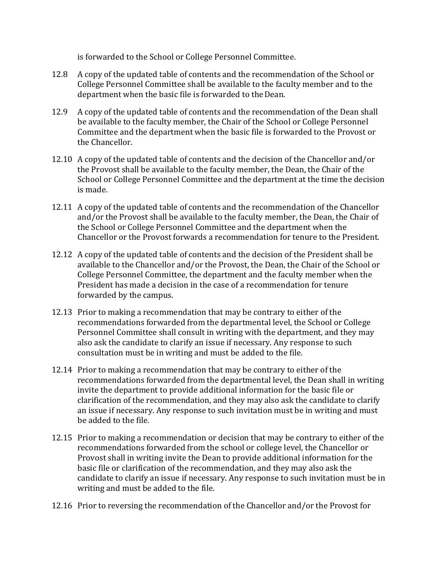is forwarded to the School or College Personnel Committee.

- 12.8 A copy of the updated table of contents and the recommendation of the School or College Personnel Committee shall be available to the faculty member and to the department when the basic file is forwarded to the Dean.
- 12.9 A copy of the updated table of contents and the recommendation of the Dean shall be available to the faculty member, the Chair of the School or College Personnel Committee and the department when the basic file is forwarded to the Provost or the Chancellor.
- 12.10 A copy of the updated table of contents and the decision of the Chancellor and/or the Provost shall be available to the faculty member, the Dean, the Chair of the School or College Personnel Committee and the department at the time the decision is made.
- 12.11 A copy of the updated table of contents and the recommendation of the Chancellor and/or the Provost shall be available to the faculty member, the Dean, the Chair of the School or College Personnel Committee and the department when the Chancellor or the Provost forwards a recommendation for tenure to the President.
- 12.12 A copy of the updated table of contents and the decision of the President shall be available to the Chancellor and/or the Provost, the Dean, the Chair of the School or College Personnel Committee, the department and the faculty member when the President has made a decision in the case of a recommendation for tenure forwarded by the campus.
- 12.13 Prior to making a recommendation that may be contrary to either of the recommendations forwarded from the departmental level, the School or College Personnel Committee shall consult in writing with the department, and they may also ask the candidate to clarify an issue if necessary. Any response to such consultation must be in writing and must be added to the file.
- 12.14 Prior to making a recommendation that may be contrary to either of the recommendations forwarded from the departmental level, the Dean shall in writing invite the department to provide additional information for the basic file or clarification of the recommendation, and they may also ask the candidate to clarify an issue if necessary. Any response to such invitation must be in writing and must be added to the file.
- 12.15 Prior to making a recommendation or decision that may be contrary to either of the recommendations forwarded from the school or college level, the Chancellor or Provost shall in writing invite the Dean to provide additional information for the basic file or clarification of the recommendation, and they may also ask the candidate to clarify an issue if necessary. Any response to such invitation must be in writing and must be added to the file.
- 12.16 Prior to reversing the recommendation of the Chancellor and/or the Provost for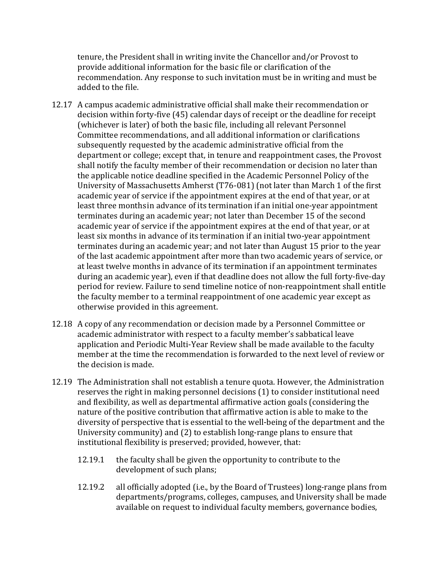tenure, the President shall in writing invite the Chancellor and/or Provost to provide additional information for the basic file or clarification of the recommendation. Any response to such invitation must be in writing and must be added to the file.

- 12.17 A campus academic administrative official shall make their recommendation or decision within forty-five (45) calendar days of receipt or the deadline for receipt (whichever is later) of both the basic file, including all relevant Personnel Committee recommendations, and all additional information or clarifications subsequently requested by the academic administrative official from the department or college; except that, in tenure and reappointment cases, the Provost shall notify the faculty member of their recommendation or decision no later than the applicable notice deadline specified in the Academic Personnel Policy of the University of Massachusetts Amherst (T76-081) (not later than March 1 of the first academic year of service if the appointment expires at the end of that year, or at least three monthsin advance of its termination if an initial one-year appointment terminates during an academic year; not later than December 15 of the second academic year of service if the appointment expires at the end of that year, or at least six months in advance of its termination if an initial two-year appointment terminates during an academic year; and not later than August 15 prior to the year of the last academic appointment after more than two academic years of service, or at least twelve months in advance of its termination if an appointment terminates during an academic year), even if that deadline does not allow the full forty-five-day period for review. Failure to send timeline notice of non-reappointment shall entitle the faculty member to a terminal reappointment of one academic year except as otherwise provided in this agreement.
- 12.18 A copy of any recommendation or decision made by a Personnel Committee or academic administrator with respect to a faculty member's sabbatical leave application and Periodic Multi-Year Review shall be made available to the faculty member at the time the recommendation is forwarded to the next level of review or the decision is made.
- 12.19 The Administration shall not establish a tenure quota. However, the Administration reserves the right in making personnel decisions (1) to consider institutional need and flexibility, as well as departmental affirmative action goals (considering the nature of the positive contribution that affirmative action is able to make to the diversity of perspective that is essential to the well-being of the department and the University community) and (2) to establish long-range plans to ensure that institutional flexibility is preserved; provided, however, that:
	- 12.19.1 the faculty shall be given the opportunity to contribute to the development of such plans;
	- 12.19.2 all officially adopted (i.e., by the Board of Trustees) long-range plans from departments/programs, colleges, campuses, and University shall be made available on request to individual faculty members, governance bodies,